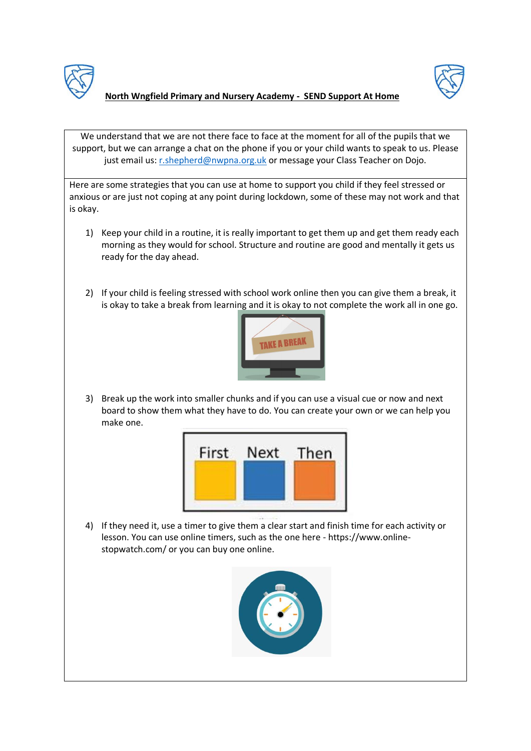



## **North Wngfield Primary and Nursery Academy - SEND Support At Home**

We understand that we are not there face to face at the moment for all of the pupils that we support, but we can arrange a chat on the phone if you or your child wants to speak to us. Please just email us[: r.shepherd@nwpna.org.uk](mailto:r.shepherd@nwpna.org.uk) or message your Class Teacher on Dojo.

Here are some strategies that you can use at home to support you child if they feel stressed or anxious or are just not coping at any point during lockdown, some of these may not work and that is okay.

- 1) Keep your child in a routine, it is really important to get them up and get them ready each morning as they would for school. Structure and routine are good and mentally it gets us ready for the day ahead.
- 2) If your child is feeling stressed with school work online then you can give them a break, it is okay to take a break from learning and it is okay to not complete the work all in one go.



3) Break up the work into smaller chunks and if you can use a visual cue or now and next board to show them what they have to do. You can create your own or we can help you make one.



4) If they need it, use a timer to give them a clear start and finish time for each activity or lesson. You can use online timers, such as the one here - https://www.onlinestopwatch.com/ or you can buy one online.